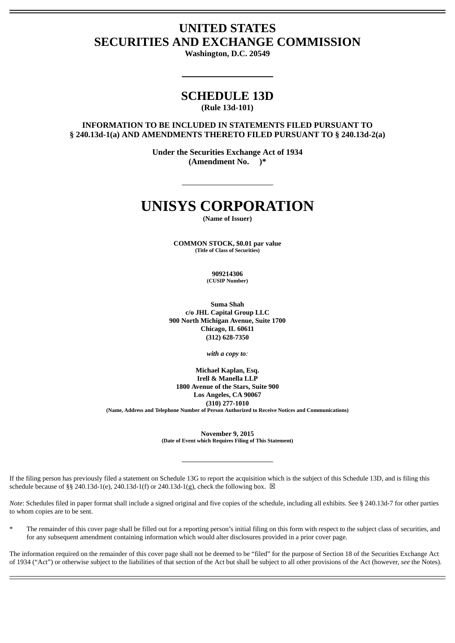## **UNITED STATES SECURITIES AND EXCHANGE COMMISSION**

**Washington, D.C. 20549**

### **SCHEDULE 13D (Rule 13d-101)**

#### **INFORMATION TO BE INCLUDED IN STATEMENTS FILED PURSUANT TO § 240.13d-1(a) AND AMENDMENTS THERETO FILED PURSUANT TO § 240.13d-2(a)**

**Under the Securities Exchange Act of 1934 (Amendment No. )\***

# **UNISYS CORPORATION**

**(Name of Issuer)**

**COMMON STOCK, \$0.01 par value (Title of Class of Securities)**

> **909214306 (CUSIP Number)**

**Suma Shah c/o JHL Capital Group LLC 900 North Michigan Avenue, Suite 1700 Chicago, IL 60611 (312) 628-7350**

*with a copy to:*

**Michael Kaplan, Esq. Irell & Manella LLP 1800 Avenue of the Stars, Suite 900 Los Angeles, CA 90067 (310) 277-1010 (Name, Address and Telephone Number of Person Authorized to Receive Notices and Communications)**

**November 9, 2015**

**(Date of Event which Requires Filing of This Statement)**

If the filing person has previously filed a statement on Schedule 13G to report the acquisition which is the subject of this Schedule 13D, and is filing this schedule because of §§ 240.13d-1(e), 240.13d-1(f) or 240.13d-1(g), check the following box.  $\boxtimes$ 

*Note*: Schedules filed in paper format shall include a signed original and five copies of the schedule, including all exhibits. See § 240.13d-7 for other parties to whom copies are to be sent.

The remainder of this cover page shall be filled out for a reporting person's initial filing on this form with respect to the subject class of securities, and for any subsequent amendment containing information which would alter disclosures provided in a prior cover page.

The information required on the remainder of this cover page shall not be deemed to be "filed" for the purpose of Section 18 of the Securities Exchange Act of 1934 ("Act") or otherwise subject to the liabilities of that section of the Act but shall be subject to all other provisions of the Act (however, *see* the Notes).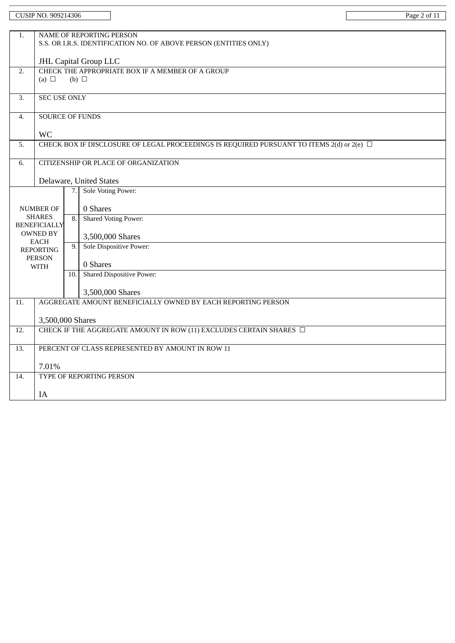|                                      | <b>CUSIP NO. 909214306</b>     |                                                                     |                                                                                                      | Page 2 of 11 |  |  |  |  |
|--------------------------------------|--------------------------------|---------------------------------------------------------------------|------------------------------------------------------------------------------------------------------|--------------|--|--|--|--|
| 1.                                   |                                |                                                                     | <b>NAME OF REPORTING PERSON</b><br>S.S. OR I.R.S. IDENTIFICATION NO. OF ABOVE PERSON (ENTITIES ONLY) |              |  |  |  |  |
|                                      |                                | <b>JHL Capital Group LLC</b>                                        |                                                                                                      |              |  |  |  |  |
| 2.                                   | (a) $\Box$                     | CHECK THE APPROPRIATE BOX IF A MEMBER OF A GROUP<br>$(b)$ $\square$ |                                                                                                      |              |  |  |  |  |
| 3.                                   | <b>SEC USE ONLY</b>            |                                                                     |                                                                                                      |              |  |  |  |  |
| 4.                                   | <b>SOURCE OF FUNDS</b>         |                                                                     |                                                                                                      |              |  |  |  |  |
|                                      | WC                             |                                                                     |                                                                                                      |              |  |  |  |  |
| 5.                                   |                                |                                                                     | CHECK BOX IF DISCLOSURE OF LEGAL PROCEEDINGS IS REQUIRED PURSUANT TO ITEMS 2(d) or 2(e) $\Box$       |              |  |  |  |  |
| 6.                                   |                                |                                                                     | <b>CITIZENSHIP OR PLACE OF ORGANIZATION</b>                                                          |              |  |  |  |  |
|                                      |                                |                                                                     | Delaware, United States                                                                              |              |  |  |  |  |
|                                      |                                | 7.                                                                  | <b>Sole Voting Power:</b>                                                                            |              |  |  |  |  |
|                                      | <b>NUMBER OF</b>               |                                                                     | 0 Shares                                                                                             |              |  |  |  |  |
| <b>SHARES</b><br><b>BENEFICIALLY</b> |                                | 8.                                                                  | <b>Shared Voting Power:</b>                                                                          |              |  |  |  |  |
|                                      | <b>OWNED BY</b><br><b>EACH</b> |                                                                     | 3,500,000 Shares                                                                                     |              |  |  |  |  |
|                                      | <b>REPORTING</b>               | 9.                                                                  | Sole Dispositive Power:                                                                              |              |  |  |  |  |
|                                      | <b>PERSON</b><br><b>WITH</b>   |                                                                     | 0 Shares                                                                                             |              |  |  |  |  |
|                                      |                                | 10.                                                                 | <b>Shared Dispositive Power:</b>                                                                     |              |  |  |  |  |
|                                      |                                |                                                                     | 3,500,000 Shares                                                                                     |              |  |  |  |  |
| 11.                                  |                                |                                                                     | AGGREGATE AMOUNT BENEFICIALLY OWNED BY EACH REPORTING PERSON                                         |              |  |  |  |  |
|                                      | 3,500,000 Shares               |                                                                     |                                                                                                      |              |  |  |  |  |
| 12.                                  |                                |                                                                     | CHECK IF THE AGGREGATE AMOUNT IN ROW (11) EXCLUDES CERTAIN SHARES $\Box$                             |              |  |  |  |  |
| 13.                                  |                                |                                                                     | PERCENT OF CLASS REPRESENTED BY AMOUNT IN ROW 11                                                     |              |  |  |  |  |
|                                      | 7.01%                          |                                                                     |                                                                                                      |              |  |  |  |  |
| 14.                                  |                                |                                                                     | TYPE OF REPORTING PERSON                                                                             |              |  |  |  |  |
|                                      | IA                             |                                                                     |                                                                                                      |              |  |  |  |  |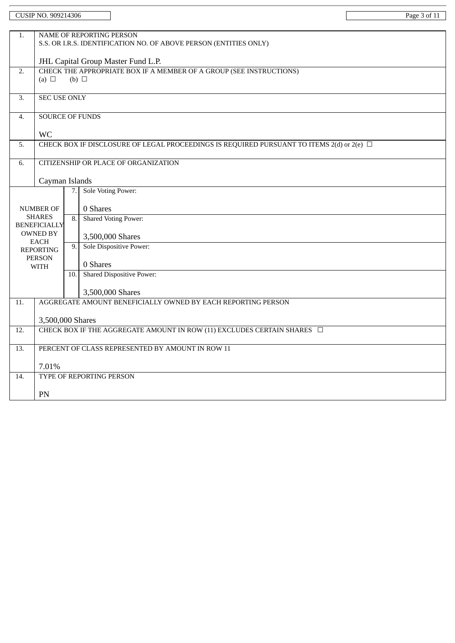|                                        | CUSIP NO. 909214306                                               |                  |                                                                                                    | Page 3 of 11 |  |  |  |
|----------------------------------------|-------------------------------------------------------------------|------------------|----------------------------------------------------------------------------------------------------|--------------|--|--|--|
|                                        |                                                                   |                  |                                                                                                    |              |  |  |  |
| 1.                                     | NAME OF REPORTING PERSON                                          |                  |                                                                                                    |              |  |  |  |
|                                        | S.S. OR I.R.S. IDENTIFICATION NO. OF ABOVE PERSON (ENTITIES ONLY) |                  |                                                                                                    |              |  |  |  |
|                                        | JHL Capital Group Master Fund L.P.                                |                  |                                                                                                    |              |  |  |  |
| 2.                                     |                                                                   |                  | CHECK THE APPROPRIATE BOX IF A MEMBER OF A GROUP (SEE INSTRUCTIONS)                                |              |  |  |  |
|                                        | (a) $\Box$                                                        | $(b)$ $\square$  |                                                                                                    |              |  |  |  |
| 3.                                     | <b>SEC USE ONLY</b>                                               |                  |                                                                                                    |              |  |  |  |
|                                        |                                                                   |                  |                                                                                                    |              |  |  |  |
| $\overline{4}$ .                       | <b>SOURCE OF FUNDS</b>                                            |                  |                                                                                                    |              |  |  |  |
|                                        | <b>WC</b>                                                         |                  |                                                                                                    |              |  |  |  |
| 5.                                     |                                                                   |                  | CHECK BOX IF DISCLOSURE OF LEGAL PROCEEDINGS IS REQUIRED PURSUANT TO ITEMS $2(d)$ or $2(e)$ $\Box$ |              |  |  |  |
| 6.                                     |                                                                   |                  | <b>CITIZENSHIP OR PLACE OF ORGANIZATION</b>                                                        |              |  |  |  |
|                                        |                                                                   |                  |                                                                                                    |              |  |  |  |
|                                        | Cayman Islands                                                    |                  |                                                                                                    |              |  |  |  |
|                                        | Sole Voting Power:<br>7.                                          |                  |                                                                                                    |              |  |  |  |
|                                        | 0 Shares<br><b>NUMBER OF</b>                                      |                  |                                                                                                    |              |  |  |  |
|                                        | <b>SHARES</b>                                                     | $\overline{8}$ . | <b>Shared Voting Power:</b>                                                                        |              |  |  |  |
| <b>BENEFICIALLY</b><br><b>OWNED BY</b> |                                                                   |                  |                                                                                                    |              |  |  |  |
|                                        | <b>EACH</b>                                                       | 9.               | 3,500,000 Shares<br>Sole Dispositive Power:                                                        |              |  |  |  |
| <b>REPORTING</b><br><b>PERSON</b>      |                                                                   |                  |                                                                                                    |              |  |  |  |
|                                        | <b>WITH</b>                                                       |                  | 0 Shares                                                                                           |              |  |  |  |
|                                        |                                                                   | 10.              | <b>Shared Dispositive Power:</b>                                                                   |              |  |  |  |
|                                        |                                                                   |                  | 3,500,000 Shares                                                                                   |              |  |  |  |
| 11.                                    |                                                                   |                  | AGGREGATE AMOUNT BENEFICIALLY OWNED BY EACH REPORTING PERSON                                       |              |  |  |  |
|                                        |                                                                   |                  |                                                                                                    |              |  |  |  |
| 12.                                    | 3,500,000 Shares                                                  |                  | CHECK BOX IF THE AGGREGATE AMOUNT IN ROW (11) EXCLUDES CERTAIN SHARES $\Box$                       |              |  |  |  |
|                                        |                                                                   |                  |                                                                                                    |              |  |  |  |
| $\overline{13}$ .                      | PERCENT OF CLASS REPRESENTED BY AMOUNT IN ROW 11                  |                  |                                                                                                    |              |  |  |  |
|                                        | 7.01%                                                             |                  |                                                                                                    |              |  |  |  |
| 14.                                    | TYPE OF REPORTING PERSON                                          |                  |                                                                                                    |              |  |  |  |
|                                        |                                                                   |                  |                                                                                                    |              |  |  |  |
|                                        | PN                                                                |                  |                                                                                                    |              |  |  |  |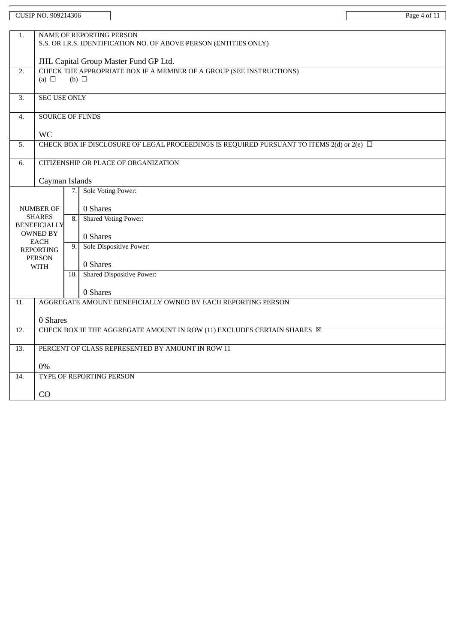|                                        | CUSIP NO. 909214306                                                                           |                  |                                                                                                    | Page 4 of 11 |  |  |  |  |
|----------------------------------------|-----------------------------------------------------------------------------------------------|------------------|----------------------------------------------------------------------------------------------------|--------------|--|--|--|--|
|                                        |                                                                                               |                  |                                                                                                    |              |  |  |  |  |
| 1.                                     | NAME OF REPORTING PERSON<br>S.S. OR I.R.S. IDENTIFICATION NO. OF ABOVE PERSON (ENTITIES ONLY) |                  |                                                                                                    |              |  |  |  |  |
|                                        |                                                                                               |                  |                                                                                                    |              |  |  |  |  |
|                                        | JHL Capital Group Master Fund GP Ltd.                                                         |                  |                                                                                                    |              |  |  |  |  |
| 2.                                     | CHECK THE APPROPRIATE BOX IF A MEMBER OF A GROUP (SEE INSTRUCTIONS)<br>$(b)$ $\square$        |                  |                                                                                                    |              |  |  |  |  |
|                                        | (a) $\Box$                                                                                    |                  |                                                                                                    |              |  |  |  |  |
| 3.                                     | <b>SEC USE ONLY</b>                                                                           |                  |                                                                                                    |              |  |  |  |  |
| 4.                                     | <b>SOURCE OF FUNDS</b>                                                                        |                  |                                                                                                    |              |  |  |  |  |
|                                        |                                                                                               |                  |                                                                                                    |              |  |  |  |  |
|                                        | <b>WC</b>                                                                                     |                  |                                                                                                    |              |  |  |  |  |
| 5.                                     |                                                                                               |                  | CHECK BOX IF DISCLOSURE OF LEGAL PROCEEDINGS IS REQUIRED PURSUANT TO ITEMS $2(d)$ or $2(e)$ $\Box$ |              |  |  |  |  |
| 6.                                     |                                                                                               |                  | <b>CITIZENSHIP OR PLACE OF ORGANIZATION</b>                                                        |              |  |  |  |  |
|                                        |                                                                                               |                  |                                                                                                    |              |  |  |  |  |
|                                        | Cayman Islands                                                                                |                  |                                                                                                    |              |  |  |  |  |
|                                        |                                                                                               | 7.               | <b>Sole Voting Power:</b>                                                                          |              |  |  |  |  |
| <b>NUMBER OF</b>                       |                                                                                               |                  | 0 Shares                                                                                           |              |  |  |  |  |
| <b>SHARES</b>                          |                                                                                               | $\overline{8}$ . | <b>Shared Voting Power:</b>                                                                        |              |  |  |  |  |
| <b>BENEFICIALLY</b><br><b>OWNED BY</b> |                                                                                               |                  |                                                                                                    |              |  |  |  |  |
|                                        | <b>EACH</b>                                                                                   |                  | 0 Shares<br>Sole Dispositive Power:                                                                |              |  |  |  |  |
| <b>REPORTING</b><br><b>PERSON</b>      |                                                                                               | 9.               |                                                                                                    |              |  |  |  |  |
|                                        | <b>WITH</b>                                                                                   |                  | 0 Shares                                                                                           |              |  |  |  |  |
|                                        |                                                                                               | 10.              | <b>Shared Dispositive Power:</b>                                                                   |              |  |  |  |  |
|                                        |                                                                                               |                  | 0 Shares                                                                                           |              |  |  |  |  |
| 11.                                    |                                                                                               |                  | AGGREGATE AMOUNT BENEFICIALLY OWNED BY EACH REPORTING PERSON                                       |              |  |  |  |  |
|                                        |                                                                                               |                  |                                                                                                    |              |  |  |  |  |
| 12.                                    | 0 Shares                                                                                      |                  | CHECK BOX IF THE AGGREGATE AMOUNT IN ROW (11) EXCLUDES CERTAIN SHARES X                            |              |  |  |  |  |
|                                        |                                                                                               |                  |                                                                                                    |              |  |  |  |  |
| 13.                                    | PERCENT OF CLASS REPRESENTED BY AMOUNT IN ROW 11                                              |                  |                                                                                                    |              |  |  |  |  |
|                                        | 0%                                                                                            |                  |                                                                                                    |              |  |  |  |  |
| 14.                                    |                                                                                               |                  | TYPE OF REPORTING PERSON                                                                           |              |  |  |  |  |
|                                        |                                                                                               |                  |                                                                                                    |              |  |  |  |  |
|                                        | CO                                                                                            |                  |                                                                                                    |              |  |  |  |  |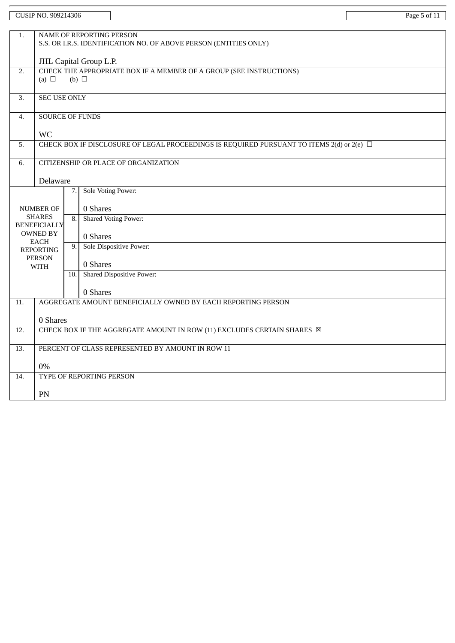|                  | <b>CUSIP NO. 909214306</b>                                             |                 |                                                                                                | Page 5 of 11 |  |  |  |
|------------------|------------------------------------------------------------------------|-----------------|------------------------------------------------------------------------------------------------|--------------|--|--|--|
| 1.               |                                                                        |                 | <b>NAME OF REPORTING PERSON</b>                                                                |              |  |  |  |
|                  | S.S. OR I.R.S. IDENTIFICATION NO. OF ABOVE PERSON (ENTITIES ONLY)      |                 |                                                                                                |              |  |  |  |
|                  | JHL Capital Group L.P.                                                 |                 |                                                                                                |              |  |  |  |
| 2.               | (a) $\Box$                                                             | $(b)$ $\square$ | CHECK THE APPROPRIATE BOX IF A MEMBER OF A GROUP (SEE INSTRUCTIONS)                            |              |  |  |  |
| 3.               | <b>SEC USE ONLY</b>                                                    |                 |                                                                                                |              |  |  |  |
|                  |                                                                        |                 |                                                                                                |              |  |  |  |
| 4.               | <b>SOURCE OF FUNDS</b>                                                 |                 |                                                                                                |              |  |  |  |
|                  | <b>WC</b>                                                              |                 |                                                                                                |              |  |  |  |
| 5.               |                                                                        |                 | CHECK BOX IF DISCLOSURE OF LEGAL PROCEEDINGS IS REQUIRED PURSUANT TO ITEMS 2(d) or 2(e) $\Box$ |              |  |  |  |
| 6.               |                                                                        |                 | CITIZENSHIP OR PLACE OF ORGANIZATION                                                           |              |  |  |  |
|                  | Delaware                                                               |                 |                                                                                                |              |  |  |  |
|                  |                                                                        | 7.              | Sole Voting Power:                                                                             |              |  |  |  |
|                  | <b>NUMBER OF</b>                                                       | 8.              | 0 Shares                                                                                       |              |  |  |  |
|                  | <b>SHARES</b><br><b>BENEFICIALLY</b><br><b>OWNED BY</b><br><b>EACH</b> |                 | <b>Shared Voting Power:</b>                                                                    |              |  |  |  |
|                  |                                                                        |                 | 0 Shares                                                                                       |              |  |  |  |
| <b>REPORTING</b> |                                                                        | 9.              | Sole Dispositive Power:                                                                        |              |  |  |  |
|                  | <b>PERSON</b><br><b>WITH</b>                                           |                 | 0 Shares                                                                                       |              |  |  |  |
|                  |                                                                        | 10.             | <b>Shared Dispositive Power:</b>                                                               |              |  |  |  |
|                  |                                                                        |                 | 0 Shares                                                                                       |              |  |  |  |
| 11.              |                                                                        |                 | AGGREGATE AMOUNT BENEFICIALLY OWNED BY EACH REPORTING PERSON                                   |              |  |  |  |
|                  | 0 Shares                                                               |                 |                                                                                                |              |  |  |  |
| 12.              |                                                                        |                 | CHECK BOX IF THE AGGREGATE AMOUNT IN ROW (11) EXCLUDES CERTAIN SHARES $\boxtimes$              |              |  |  |  |
| 13.              | PERCENT OF CLASS REPRESENTED BY AMOUNT IN ROW 11                       |                 |                                                                                                |              |  |  |  |
|                  | 0%                                                                     |                 |                                                                                                |              |  |  |  |
| 14.              |                                                                        |                 | TYPE OF REPORTING PERSON                                                                       |              |  |  |  |
|                  | PN                                                                     |                 |                                                                                                |              |  |  |  |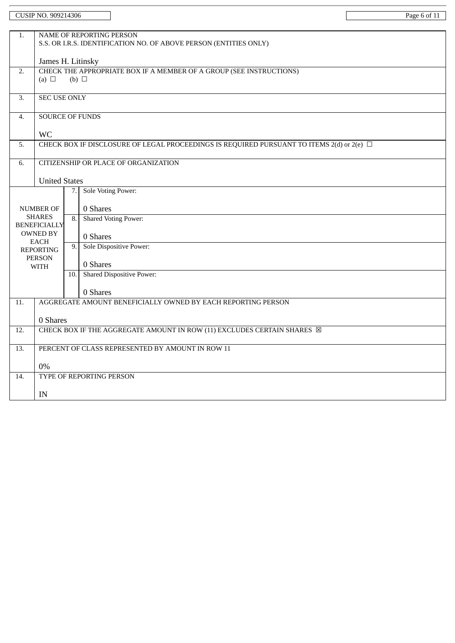|                                   | CUSIP NO. 909214306                                                                             |                  |                                                                                                    | Page 6 of 11 |  |  |  |  |
|-----------------------------------|-------------------------------------------------------------------------------------------------|------------------|----------------------------------------------------------------------------------------------------|--------------|--|--|--|--|
|                                   |                                                                                                 |                  |                                                                                                    |              |  |  |  |  |
| 1.                                | NAME OF REPORTING PERSON<br>S.S. OR I.R.S. IDENTIFICATION NO. OF ABOVE PERSON (ENTITIES ONLY)   |                  |                                                                                                    |              |  |  |  |  |
|                                   |                                                                                                 |                  |                                                                                                    |              |  |  |  |  |
|                                   | James H. Litinsky                                                                               |                  |                                                                                                    |              |  |  |  |  |
| 2.                                | CHECK THE APPROPRIATE BOX IF A MEMBER OF A GROUP (SEE INSTRUCTIONS)<br>(a) $\Box$<br>(b) $\Box$ |                  |                                                                                                    |              |  |  |  |  |
|                                   |                                                                                                 |                  |                                                                                                    |              |  |  |  |  |
| 3.                                | <b>SEC USE ONLY</b>                                                                             |                  |                                                                                                    |              |  |  |  |  |
| 4.                                | <b>SOURCE OF FUNDS</b>                                                                          |                  |                                                                                                    |              |  |  |  |  |
|                                   |                                                                                                 |                  |                                                                                                    |              |  |  |  |  |
| 5.                                | <b>WC</b>                                                                                       |                  | CHECK BOX IF DISCLOSURE OF LEGAL PROCEEDINGS IS REQUIRED PURSUANT TO ITEMS $2(d)$ or $2(e)$ $\Box$ |              |  |  |  |  |
|                                   |                                                                                                 |                  |                                                                                                    |              |  |  |  |  |
| 6.                                |                                                                                                 |                  | <b>CITIZENSHIP OR PLACE OF ORGANIZATION</b>                                                        |              |  |  |  |  |
|                                   | <b>United States</b>                                                                            |                  |                                                                                                    |              |  |  |  |  |
|                                   |                                                                                                 | 7.               | Sole Voting Power:                                                                                 |              |  |  |  |  |
|                                   |                                                                                                 |                  |                                                                                                    |              |  |  |  |  |
| <b>NUMBER OF</b><br><b>SHARES</b> |                                                                                                 | $\overline{8}$ . | 0 Shares                                                                                           |              |  |  |  |  |
|                                   | <b>BENEFICIALLY</b>                                                                             |                  | <b>Shared Voting Power:</b>                                                                        |              |  |  |  |  |
|                                   | <b>OWNED BY</b>                                                                                 |                  | 0 Shares                                                                                           |              |  |  |  |  |
| <b>EACH</b><br><b>REPORTING</b>   |                                                                                                 | 9.               | Sole Dispositive Power:                                                                            |              |  |  |  |  |
|                                   | <b>PERSON</b>                                                                                   |                  | 0 Shares                                                                                           |              |  |  |  |  |
|                                   | <b>WITH</b>                                                                                     | 10.              | <b>Shared Dispositive Power:</b>                                                                   |              |  |  |  |  |
|                                   |                                                                                                 |                  |                                                                                                    |              |  |  |  |  |
| 11.                               |                                                                                                 |                  | 0 Shares<br>AGGREGATE AMOUNT BENEFICIALLY OWNED BY EACH REPORTING PERSON                           |              |  |  |  |  |
|                                   |                                                                                                 |                  |                                                                                                    |              |  |  |  |  |
|                                   | 0 Shares                                                                                        |                  |                                                                                                    |              |  |  |  |  |
| 12.                               |                                                                                                 |                  | CHECK BOX IF THE AGGREGATE AMOUNT IN ROW (11) EXCLUDES CERTAIN SHARES X                            |              |  |  |  |  |
| $\overline{13}$ .                 | PERCENT OF CLASS REPRESENTED BY AMOUNT IN ROW 11                                                |                  |                                                                                                    |              |  |  |  |  |
|                                   | 0%                                                                                              |                  |                                                                                                    |              |  |  |  |  |
| 14.                               |                                                                                                 |                  | TYPE OF REPORTING PERSON                                                                           |              |  |  |  |  |
|                                   |                                                                                                 |                  |                                                                                                    |              |  |  |  |  |
|                                   | IN                                                                                              |                  |                                                                                                    |              |  |  |  |  |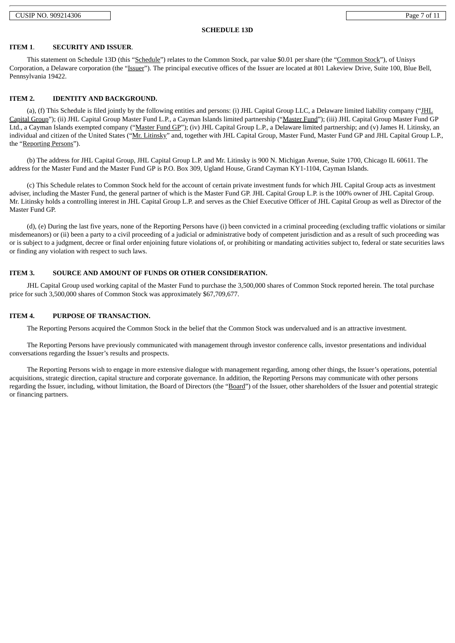CUSIP NO. 909214306 Page 7 of 11

#### **SCHEDULE 13D**

#### **ITEM 1**. **SECURITY AND ISSUER**.

This statement on Schedule 13D (this "Schedule") relates to the Common Stock, par value \$0.01 per share (the "Common Stock"), of Unisys Corporation, a Delaware corporation (the "Issuer"). The principal executive offices of the Issuer are located at 801 Lakeview Drive, Suite 100, Blue Bell, Pennsylvania 19422.

#### **ITEM 2. IDENTITY AND BACKGROUND.**

(a), (f) This Schedule is filed jointly by the following entities and persons: (i) JHL Capital Group LLC, a Delaware limited liability company ("JHL Capital Group"); (ii) JHL Capital Group Master Fund L.P., a Cayman Islands limited partnership ("Master Fund"); (iii) JHL Capital Group Master Fund GP Ltd., a Cayman Islands exempted company ("Master Fund GP"); (iv) JHL Capital Group L.P., a Delaware limited partnership; and (v) James H. Litinsky, an individual and citizen of the United States ("Mr. Litinsky" and, together with JHL Capital Group, Master Fund, Master Fund GP and JHL Capital Group L.P., the "Reporting Persons").

(b) The address for JHL Capital Group, JHL Capital Group L.P. and Mr. Litinsky is 900 N. Michigan Avenue, Suite 1700, Chicago IL 60611. The address for the Master Fund and the Master Fund GP is P.O. Box 309, Ugland House, Grand Cayman KY1-1104, Cayman Islands.

(c) This Schedule relates to Common Stock held for the account of certain private investment funds for which JHL Capital Group acts as investment adviser, including the Master Fund, the general partner of which is the Master Fund GP. JHL Capital Group L.P. is the 100% owner of JHL Capital Group. Mr. Litinsky holds a controlling interest in JHL Capital Group L.P. and serves as the Chief Executive Officer of JHL Capital Group as well as Director of the Master Fund GP.

(d), (e) During the last five years, none of the Reporting Persons have (i) been convicted in a criminal proceeding (excluding traffic violations or similar misdemeanors) or (ii) been a party to a civil proceeding of a judicial or administrative body of competent jurisdiction and as a result of such proceeding was or is subject to a judgment, decree or final order enjoining future violations of, or prohibiting or mandating activities subject to, federal or state securities laws or finding any violation with respect to such laws.

#### **ITEM 3. SOURCE AND AMOUNT OF FUNDS OR OTHER CONSIDERATION.**

JHL Capital Group used working capital of the Master Fund to purchase the 3,500,000 shares of Common Stock reported herein. The total purchase price for such 3,500,000 shares of Common Stock was approximately \$67,709,677.

#### **ITEM 4. PURPOSE OF TRANSACTION.**

The Reporting Persons acquired the Common Stock in the belief that the Common Stock was undervalued and is an attractive investment.

The Reporting Persons have previously communicated with management through investor conference calls, investor presentations and individual conversations regarding the Issuer's results and prospects.

The Reporting Persons wish to engage in more extensive dialogue with management regarding, among other things, the Issuer's operations, potential acquisitions, strategic direction, capital structure and corporate governance. In addition, the Reporting Persons may communicate with other persons regarding the Issuer, including, without limitation, the Board of Directors (the "Board") of the Issuer, other shareholders of the Issuer and potential strategic or financing partners.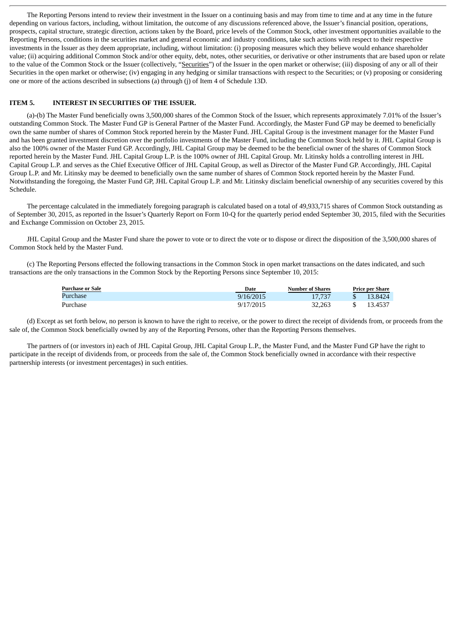The Reporting Persons intend to review their investment in the Issuer on a continuing basis and may from time to time and at any time in the future depending on various factors, including, without limitation, the outcome of any discussions referenced above, the Issuer's financial position, operations, prospects, capital structure, strategic direction, actions taken by the Board, price levels of the Common Stock, other investment opportunities available to the Reporting Persons, conditions in the securities market and general economic and industry conditions, take such actions with respect to their respective investments in the Issuer as they deem appropriate, including, without limitation: (i) proposing measures which they believe would enhance shareholder value; (ii) acquiring additional Common Stock and/or other equity, debt, notes, other securities, or derivative or other instruments that are based upon or relate to the value of the Common Stock or the Issuer (collectively, "Securities") of the Issuer in the open market or otherwise; (iii) disposing of any or all of their Securities in the open market or otherwise; (iv) engaging in any hedging or similar transactions with respect to the Securities; or (v) proposing or considering one or more of the actions described in subsections (a) through (j) of Item 4 of Schedule 13D.

#### **ITEM 5. INTEREST IN SECURITIES OF THE ISSUER.**

(a)-(b) The Master Fund beneficially owns 3,500,000 shares of the Common Stock of the Issuer, which represents approximately 7.01% of the Issuer's outstanding Common Stock. The Master Fund GP is General Partner of the Master Fund. Accordingly, the Master Fund GP may be deemed to beneficially own the same number of shares of Common Stock reported herein by the Master Fund. JHL Capital Group is the investment manager for the Master Fund and has been granted investment discretion over the portfolio investments of the Master Fund, including the Common Stock held by it. JHL Capital Group is also the 100% owner of the Master Fund GP. Accordingly, JHL Capital Group may be deemed to be the beneficial owner of the shares of Common Stock reported herein by the Master Fund. JHL Capital Group L.P. is the 100% owner of JHL Capital Group. Mr. Litinsky holds a controlling interest in JHL Capital Group L.P. and serves as the Chief Executive Officer of JHL Capital Group, as well as Director of the Master Fund GP. Accordingly, JHL Capital Group L.P. and Mr. Litinsky may be deemed to beneficially own the same number of shares of Common Stock reported herein by the Master Fund. Notwithstanding the foregoing, the Master Fund GP, JHL Capital Group L.P. and Mr. Litinsky disclaim beneficial ownership of any securities covered by this Schedule.

The percentage calculated in the immediately foregoing paragraph is calculated based on a total of 49,933,715 shares of Common Stock outstanding as of September 30, 2015, as reported in the Issuer's Quarterly Report on Form 10-Q for the quarterly period ended September 30, 2015, filed with the Securities and Exchange Commission on October 23, 2015.

JHL Capital Group and the Master Fund share the power to vote or to direct the vote or to dispose or direct the disposition of the 3,500,000 shares of Common Stock held by the Master Fund.

(c) The Reporting Persons effected the following transactions in the Common Stock in open market transactions on the dates indicated, and such transactions are the only transactions in the Common Stock by the Reporting Persons since September 10, 2015:

| <b>Purchase or Sale</b> | Date      | Number of Shares | <b>Price per Share</b> |  |
|-------------------------|-----------|------------------|------------------------|--|
| Purchase                | 9/16/2015 | 17.737           | 13.8424                |  |
| Purchase                | 9/17/2015 | 32.263           | 13.4537                |  |

(d) Except as set forth below, no person is known to have the right to receive, or the power to direct the receipt of dividends from, or proceeds from the sale of, the Common Stock beneficially owned by any of the Reporting Persons, other than the Reporting Persons themselves.

The partners of (or investors in) each of JHL Capital Group, JHL Capital Group L.P., the Master Fund, and the Master Fund GP have the right to participate in the receipt of dividends from, or proceeds from the sale of, the Common Stock beneficially owned in accordance with their respective partnership interests (or investment percentages) in such entities.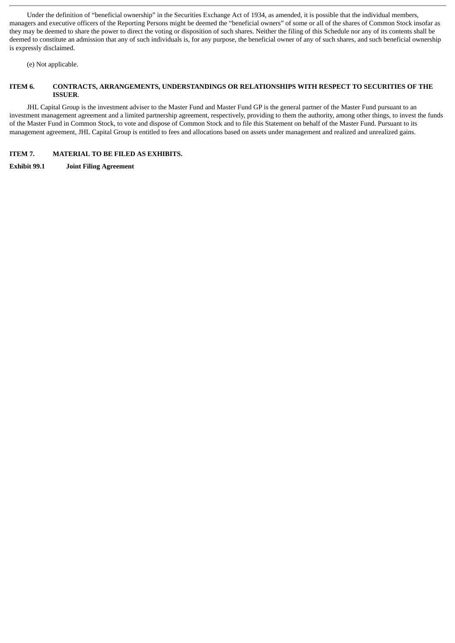Under the definition of "beneficial ownership" in the Securities Exchange Act of 1934, as amended, it is possible that the individual members, managers and executive officers of the Reporting Persons might be deemed the "beneficial owners" of some or all of the shares of Common Stock insofar as they may be deemed to share the power to direct the voting or disposition of such shares. Neither the filing of this Schedule nor any of its contents shall be deemed to constitute an admission that any of such individuals is, for any purpose, the beneficial owner of any of such shares, and such beneficial ownership is expressly disclaimed.

(e) Not applicable.

#### **ITEM 6. CONTRACTS, ARRANGEMENTS, UNDERSTANDINGS OR RELATIONSHIPS WITH RESPECT TO SECURITIES OF THE ISSUER**.

JHL Capital Group is the investment adviser to the Master Fund and Master Fund GP is the general partner of the Master Fund pursuant to an investment management agreement and a limited partnership agreement, respectively, providing to them the authority, among other things, to invest the funds of the Master Fund in Common Stock, to vote and dispose of Common Stock and to file this Statement on behalf of the Master Fund. Pursuant to its management agreement, JHL Capital Group is entitled to fees and allocations based on assets under management and realized and unrealized gains.

#### **ITEM 7. MATERIAL TO BE FILED AS EXHIBITS.**

**Exhibit 99.1 Joint Filing Agreement**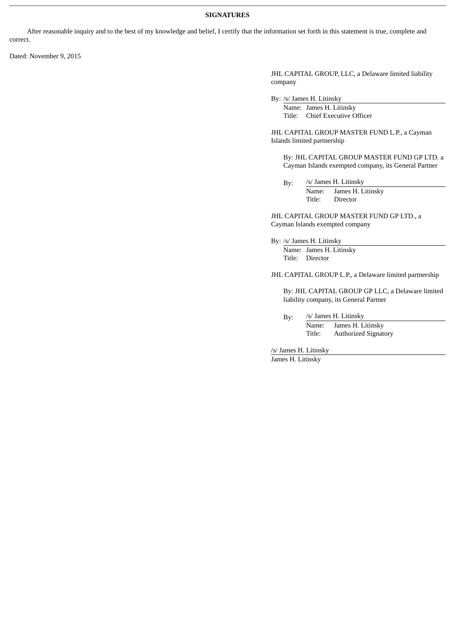#### **SIGNATURES**

After reasonable inquiry and to the best of my knowledge and belief, I certify that the information set forth in this statement is true, complete and correct.

Dated: November 9, 2015

JHL CAPITAL GROUP, LLC, a Delaware limited liability company

By: /s/ James H. Litinsky

Name: James H. Litinsky Title: Chief Executive Officer

JHL CAPITAL GROUP MASTER FUND L.P., a Cayman Islands limited partnership

By: JHL CAPITAL GROUP MASTER FUND GP LTD. a Cayman Islands exempted company, its General Partner

By: /s/ James H. Litinsky Name: James H. Litinsky Title: Director

JHL CAPITAL GROUP MASTER FUND GP LTD., a Cayman Islands exempted company

By: /s/ James H. Litinsky

Name: James H. Litinsky Title: Director

JHL CAPITAL GROUP L.P., a Delaware limited partnership

By: JHL CAPITAL GROUP GP LLC, a Delaware limited liability company, its General Partner

By: /s/ James H. Litinsky Name: James H. Litinsky Title: Authorized Signatory

/s/ James H. Litinsky

James H. Litinsky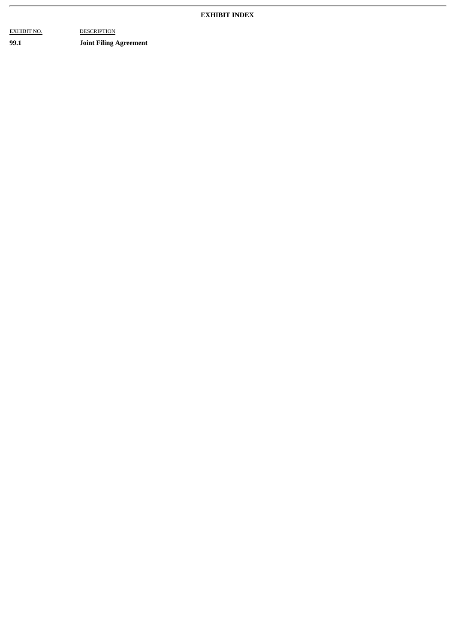#### **EXHIBIT INDEX**

EXHIBIT NO. DESCRIPTION

**99.1 Joint Filing Agreement**